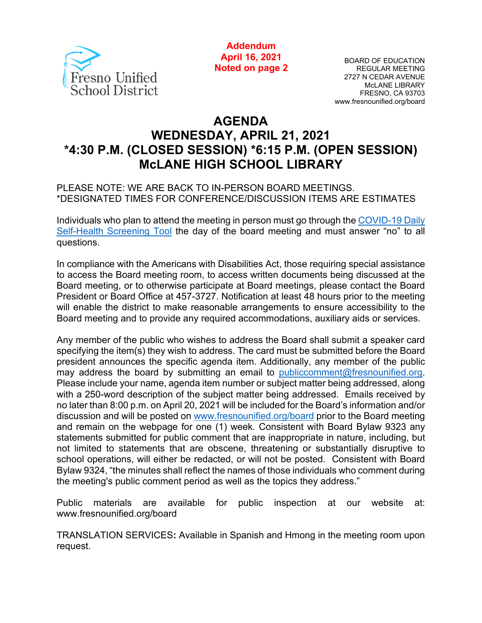

**Addendum April 16, 2021 Noted on page 2**

BOARD OF EDUCATION REGULAR MEETING 2727 N CEDAR AVENUE McLANE LIBRARY FRESNO, CA 93703 www.fresnounified.org/board

# **AGENDA WEDNESDAY, APRIL 21, 2021 \*4:30 P.M. (CLOSED SESSION) \*6:15 P.M. (OPEN SESSION) McLANE HIGH SCHOOL LIBRARY**

#### PLEASE NOTE: WE ARE BACK TO IN-PERSON BOARD MEETINGS. \*DESIGNATED TIMES FOR CONFERENCE/DISCUSSION ITEMS ARE ESTIMATES

Individuals who plan to attend the meeting in person must go through the [COVID-19 Daily](https://health.fresnounified.org/wp-content/uploads/FUSD-Self-Health-Screening-Tool.pdf)  [Self-Health Screening Tool](https://health.fresnounified.org/wp-content/uploads/FUSD-Self-Health-Screening-Tool.pdf) the day of the board meeting and must answer "no" to all questions.

In compliance with the Americans with Disabilities Act, those requiring special assistance to access the Board meeting room, to access written documents being discussed at the Board meeting, or to otherwise participate at Board meetings, please contact the Board President or Board Office at 457-3727. Notification at least 48 hours prior to the meeting will enable the district to make reasonable arrangements to ensure accessibility to the Board meeting and to provide any required accommodations, auxiliary aids or services.

Any member of the public who wishes to address the Board shall submit a speaker card specifying the item(s) they wish to address. The card must be submitted before the Board president announces the specific agenda item. Additionally, any member of the public may address the board by submitting an email to [publiccomment@fresnounified.org.](mailto:publiccomment@fresnounified.org) Please include your name, agenda item number or subject matter being addressed, along with a 250-word description of the subject matter being addressed. Emails received by no later than 8:00 p.m. on April 20, 2021 will be included for the Board's information and/or discussion and will be posted on [www.fresnounified.org/board](http://www.fresnounified.org/board) prior to the Board meeting and remain on the webpage for one (1) week. Consistent with Board Bylaw 9323 any statements submitted for public comment that are inappropriate in nature, including, but not limited to statements that are obscene, threatening or substantially disruptive to school operations, will either be redacted, or will not be posted. Consistent with Board Bylaw 9324, "the minutes shall reflect the names of those individuals who comment during the meeting's public comment period as well as the topics they address."

Public materials are available for public inspection at our website at: www.fresnounified.org/board

TRANSLATION SERVICES**:** Available in Spanish and Hmong in the meeting room upon request.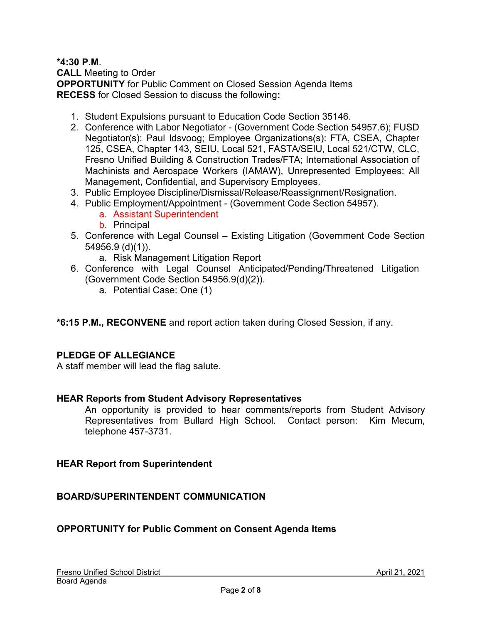#### **\*4:30 P.M**.

**CALL** Meeting to Order **OPPORTUNITY** for Public Comment on Closed Session Agenda Items **RECESS** for Closed Session to discuss the following**:**

- 1. Student Expulsions pursuant to Education Code Section 35146.
- 2. Conference with Labor Negotiator (Government Code Section 54957.6); FUSD Negotiator(s): Paul Idsvoog; Employee Organizations(s): FTA, CSEA, Chapter 125, CSEA, Chapter 143, SEIU, Local 521, FASTA/SEIU, Local 521/CTW, CLC, Fresno Unified Building & Construction Trades/FTA; International Association of Machinists and Aerospace Workers (IAMAW), Unrepresented Employees: All Management, Confidential, and Supervisory Employees.
- 3. Public Employee Discipline/Dismissal/Release/Reassignment/Resignation.
- 4. Public Employment/Appointment (Government Code Section 54957).
	- a. Assistant Superintendent
	- b. Principal
- 5. Conference with Legal Counsel Existing Litigation (Government Code Section 54956.9 (d)(1)).
	- a. Risk Management Litigation Report
- 6. Conference with Legal Counsel Anticipated/Pending/Threatened Litigation (Government Code Section 54956.9(d)(2)).
	- a. Potential Case: One (1)
- **\*6:15 P.M., RECONVENE** and report action taken during Closed Session, if any.

### **PLEDGE OF ALLEGIANCE**

A staff member will lead the flag salute.

### **HEAR Reports from Student Advisory Representatives**

An opportunity is provided to hear comments/reports from Student Advisory Representatives from Bullard High School. Contact person: Kim Mecum, telephone 457-3731.

### **HEAR Report from Superintendent**

### **BOARD/SUPERINTENDENT COMMUNICATION**

### **OPPORTUNITY for Public Comment on Consent Agenda Items**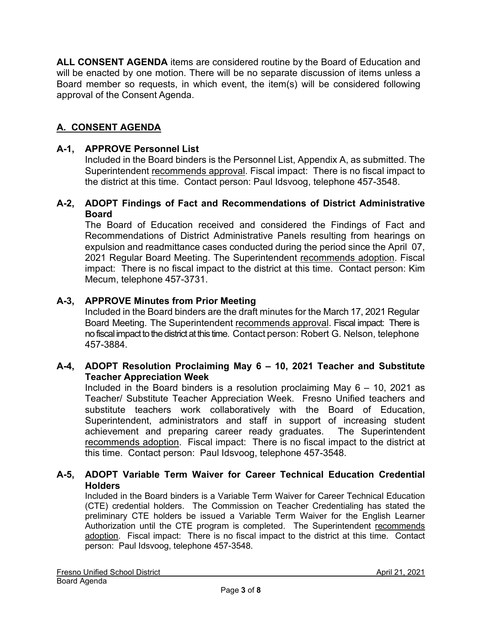**ALL CONSENT AGENDA** items are considered routine by the Board of Education and will be enacted by one motion. There will be no separate discussion of items unless a Board member so requests, in which event, the item(s) will be considered following approval of the Consent Agenda.

## **A. CONSENT AGENDA**

#### **A-1, APPROVE Personnel List**

Included in the Board binders is the Personnel List, Appendix A, as submitted. The Superintendent recommends approval. Fiscal impact: There is no fiscal impact to the district at this time. Contact person: Paul Idsvoog, telephone 457-3548.

#### **A-2, ADOPT Findings of Fact and Recommendations of District Administrative Board**

The Board of Education received and considered the Findings of Fact and Recommendations of District Administrative Panels resulting from hearings on expulsion and readmittance cases conducted during the period since the April 07, 2021 Regular Board Meeting. The Superintendent recommends adoption. Fiscal impact: There is no fiscal impact to the district at this time. Contact person: Kim Mecum, telephone 457-3731.

#### **A-3, APPROVE Minutes from Prior Meeting**

Included in the Board binders are the draft minutes for the March 17, 2021 Regular Board Meeting. The Superintendent recommends approval. Fiscal impact: There is no fiscal impact to the district at this time. Contact person: Robert G. Nelson, telephone 457-3884.

#### **A-4, ADOPT Resolution Proclaiming May 6 – 10, 2021 Teacher and Substitute Teacher Appreciation Week**

Included in the Board binders is a resolution proclaiming May  $6 - 10$ , 2021 as Teacher/ Substitute Teacher Appreciation Week. Fresno Unified teachers and substitute teachers work collaboratively with the Board of Education, Superintendent, administrators and staff in support of increasing student achievement and preparing career ready graduates. The Superintendent recommends adoption. Fiscal impact: There is no fiscal impact to the district at this time. Contact person: Paul Idsvoog, telephone 457-3548.

#### **A-5, ADOPT Variable Term Waiver for Career Technical Education Credential Holders**

Included in the Board binders is a Variable Term Waiver for Career Technical Education (CTE) credential holders. The Commission on Teacher Credentialing has stated the preliminary CTE holders be issued a Variable Term Waiver for the English Learner Authorization until the CTE program is completed. The Superintendent recommends adoption. Fiscal impact: There is no fiscal impact to the district at this time. Contact person: Paul Idsvoog, telephone 457-3548.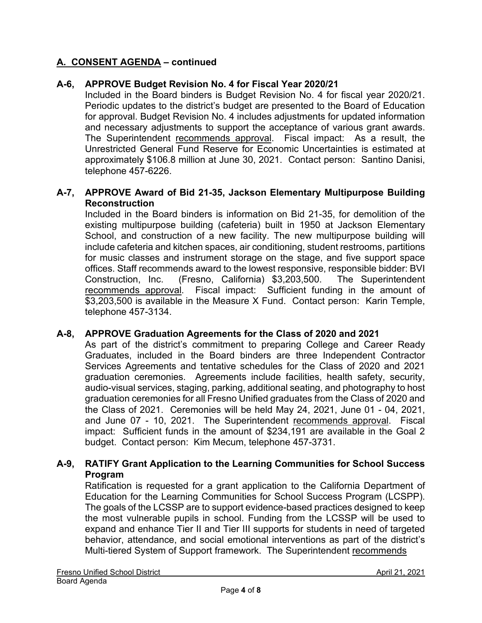### **A. CONSENT AGENDA – continued**

### **A-6, APPROVE Budget Revision No. 4 for Fiscal Year 2020/21**

Included in the Board binders is Budget Revision No. 4 for fiscal year 2020/21. Periodic updates to the district's budget are presented to the Board of Education for approval. Budget Revision No. 4 includes adjustments for updated information and necessary adjustments to support the acceptance of various grant awards. The Superintendent recommends approval. Fiscal impact: As a result, the Unrestricted General Fund Reserve for Economic Uncertainties is estimated at approximately \$106.8 million at June 30, 2021. Contact person: Santino Danisi, telephone 457-6226.

#### **A-7, APPROVE Award of Bid 21-35, Jackson Elementary Multipurpose Building Reconstruction**

Included in the Board binders is information on Bid 21-35, for demolition of the existing multipurpose building (cafeteria) built in 1950 at Jackson Elementary School, and construction of a new facility. The new multipurpose building will include cafeteria and kitchen spaces, air conditioning, student restrooms, partitions for music classes and instrument storage on the stage, and five support space offices. Staff recommends award to the lowest responsive, responsible bidder: BVI Construction, Inc. (Fresno, California) \$3,203,500. The Superintendent recommends approval. Fiscal impact: Sufficient funding in the amount of \$3,203,500 is available in the Measure X Fund. Contact person: Karin Temple, telephone 457-3134.

#### **A-8, APPROVE Graduation Agreements for the Class of 2020 and 2021**

As part of the district's commitment to preparing College and Career Ready Graduates, included in the Board binders are three Independent Contractor Services Agreements and tentative schedules for the Class of 2020 and 2021 graduation ceremonies. Agreements include facilities, health safety, security, audio-visual services, staging, parking, additional seating, and photography to host graduation ceremonies for all Fresno Unified graduates from the Class of 2020 and the Class of 2021. Ceremonies will be held May 24, 2021, June 01 - 04, 2021, and June 07 - 10, 2021. The Superintendent recommends approval. Fiscal impact: Sufficient funds in the amount of \$234,191 are available in the Goal 2 budget. Contact person: Kim Mecum, telephone 457-3731.

#### **A-9, RATIFY Grant Application to the Learning Communities for School Success Program**

Ratification is requested for a grant application to the California Department of Education for the Learning Communities for School Success Program (LCSPP). The goals of the LCSSP are to support evidence-based practices designed to keep the most vulnerable pupils in school. Funding from the LCSSP will be used to expand and enhance Tier II and Tier III supports for students in need of targeted behavior, attendance, and social emotional interventions as part of the district's Multi-tiered System of Support framework. The Superintendent recommends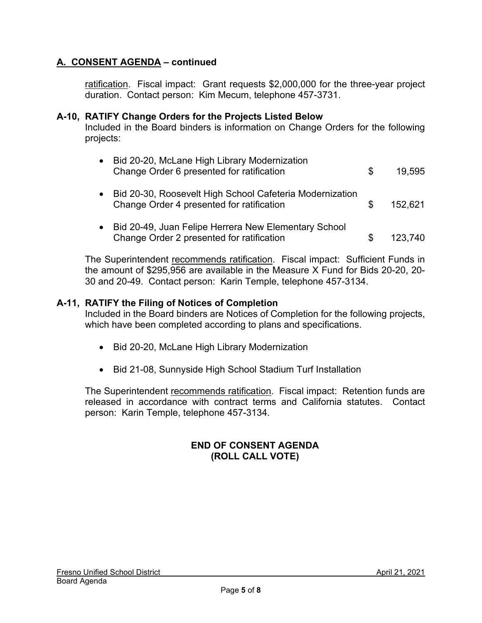### **A. CONSENT AGENDA – continued**

ratification. Fiscal impact: Grant requests \$2,000,000 for the three-year project duration. Contact person: Kim Mecum, telephone 457-3731.

#### **A-10, RATIFY Change Orders for the Projects Listed Below**

Included in the Board binders is information on Change Orders for the following projects:

| Bid 20-20, McLane High Library Modernization<br>Change Order 6 presented for ratification             | \$. | 19.595  |
|-------------------------------------------------------------------------------------------------------|-----|---------|
| Bid 20-30, Roosevelt High School Cafeteria Modernization<br>Change Order 4 presented for ratification | \$. | 152,621 |
| Bid 20-49, Juan Felipe Herrera New Elementary School<br>Change Order 2 presented for ratification     | S   | 123,740 |

The Superintendent recommends ratification. Fiscal impact: Sufficient Funds in the amount of \$295,956 are available in the Measure X Fund for Bids 20-20, 20- 30 and 20-49. Contact person: Karin Temple, telephone 457-3134.

#### **A-11, RATIFY the Filing of Notices of Completion**

Included in the Board binders are Notices of Completion for the following projects, which have been completed according to plans and specifications.

- Bid 20-20, McLane High Library Modernization
- Bid 21-08, Sunnyside High School Stadium Turf Installation

The Superintendent recommends ratification. Fiscal impact: Retention funds are released in accordance with contract terms and California statutes. Contact person: Karin Temple, telephone 457-3134.

### **END OF CONSENT AGENDA (ROLL CALL VOTE)**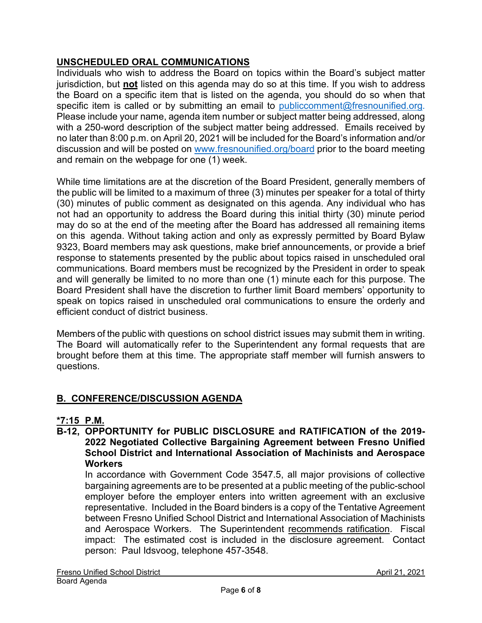## **UNSCHEDULED ORAL COMMUNICATIONS**

Individuals who wish to address the Board on topics within the Board's subject matter jurisdiction, but **not** listed on this agenda may do so at this time. If you wish to address the Board on a specific item that is listed on the agenda, you should do so when that specific item is called or by submitting an email to [publiccomment@fresnounified.org.](mailto:publiccomment@fresnounified.org) Please include your name, agenda item number or subject matter being addressed, along with a 250-word description of the subject matter being addressed. Emails received by no later than 8:00 p.m. on April 20, 2021 will be included for the Board's information and/or discussion and will be posted on [www.fresnounified.org/board](http://www.fresnounified.org/board) prior to the board meeting and remain on the webpage for one (1) week.

While time limitations are at the discretion of the Board President, generally members of the public will be limited to a maximum of three (3) minutes per speaker for a total of thirty (30) minutes of public comment as designated on this agenda. Any individual who has not had an opportunity to address the Board during this initial thirty (30) minute period may do so at the end of the meeting after the Board has addressed all remaining items on this agenda. Without taking action and only as expressly permitted by Board Bylaw 9323, Board members may ask questions, make brief announcements, or provide a brief response to statements presented by the public about topics raised in unscheduled oral communications. Board members must be recognized by the President in order to speak and will generally be limited to no more than one (1) minute each for this purpose. The Board President shall have the discretion to further limit Board members' opportunity to speak on topics raised in unscheduled oral communications to ensure the orderly and efficient conduct of district business.

Members of the public with questions on school district issues may submit them in writing. The Board will automatically refer to the Superintendent any formal requests that are brought before them at this time. The appropriate staff member will furnish answers to questions.

## **B. CONFERENCE/DISCUSSION AGENDA**

## **\*7:15 P.M.**

**B-12, OPPORTUNITY for PUBLIC DISCLOSURE and RATIFICATION of the 2019- 2022 Negotiated Collective Bargaining Agreement between Fresno Unified School District and International Association of Machinists and Aerospace Workers**

In accordance with Government Code 3547.5, all major provisions of collective bargaining agreements are to be presented at a public meeting of the public-school employer before the employer enters into written agreement with an exclusive representative. Included in the Board binders is a copy of the Tentative Agreement between Fresno Unified School District and International Association of Machinists and Aerospace Workers. The Superintendent recommends ratification. Fiscal impact: The estimated cost is included in the disclosure agreement. Contact person: Paul Idsvoog, telephone 457-3548.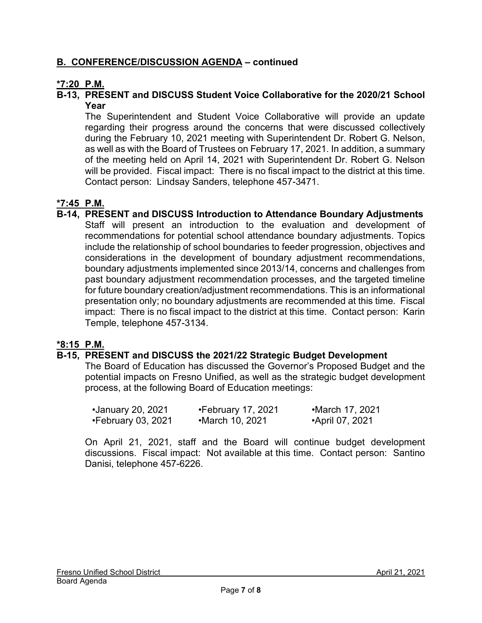### **B. CONFERENCE/DISCUSSION AGENDA – continued**

### **\*7:20 P.M.**

#### **B-13, PRESENT and DISCUSS Student Voice Collaborative for the 2020/21 School Year**

The Superintendent and Student Voice Collaborative will provide an update regarding their progress around the concerns that were discussed collectively during the February 10, 2021 meeting with Superintendent Dr. Robert G. Nelson, as well as with the Board of Trustees on February 17, 2021. In addition, a summary of the meeting held on April 14, 2021 with Superintendent Dr. Robert G. Nelson will be provided. Fiscal impact: There is no fiscal impact to the district at this time. Contact person: Lindsay Sanders, telephone 457-3471.

### **\*7:45 P.M.**

**B-14, PRESENT and DISCUSS Introduction to Attendance Boundary Adjustments** Staff will present an introduction to the evaluation and development of recommendations for potential school attendance boundary adjustments. Topics include the relationship of school boundaries to feeder progression, objectives and considerations in the development of boundary adjustment recommendations, boundary adjustments implemented since 2013/14, concerns and challenges from past boundary adjustment recommendation processes, and the targeted timeline for future boundary creation/adjustment recommendations. This is an informational presentation only; no boundary adjustments are recommended at this time. Fiscal impact: There is no fiscal impact to the district at this time. Contact person: Karin Temple, telephone 457-3134.

### **\*8:15 P.M.**

### **B-15, PRESENT and DISCUSS the 2021/22 Strategic Budget Development**

The Board of Education has discussed the Governor's Proposed Budget and the potential impacts on Fresno Unified, as well as the strategic budget development process, at the following Board of Education meetings:

| •January 20, 2021  | $\cdot$ February 17, 2021 | •March 17, 2021 |
|--------------------|---------------------------|-----------------|
| •February 03, 2021 | •March 10, 2021           | •April 07, 2021 |

On April 21, 2021, staff and the Board will continue budget development discussions. Fiscal impact: Not available at this time. Contact person: Santino Danisi, telephone 457-6226.